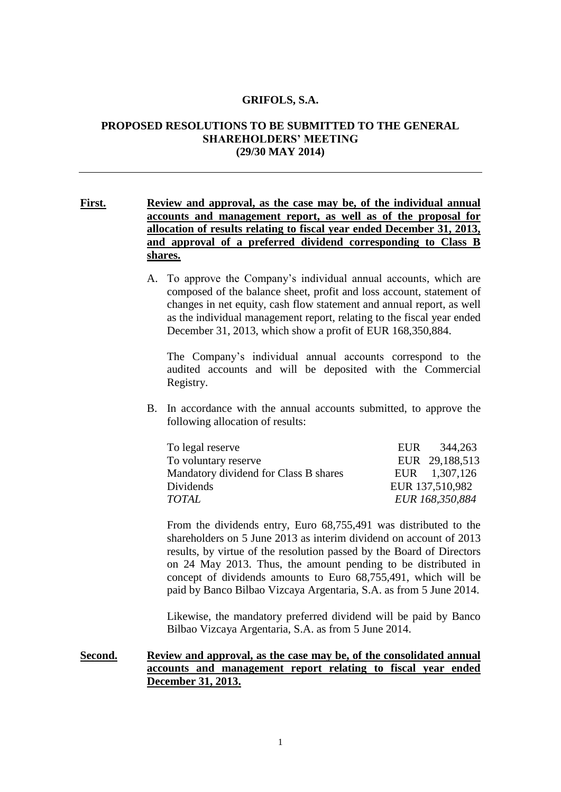#### **GRIFOLS, S.A.**

# **PROPOSED RESOLUTIONS TO BE SUBMITTED TO THE GENERAL SHAREHOLDERS' MEETING (29/30 MAY 2014)**

# **First. Review and approval, as the case may be, of the individual annual accounts and management report, as well as of the proposal for allocation of results relating to fiscal year ended December 31, 2013, and approval of a preferred dividend corresponding to Class B shares.**

A. To approve the Company's individual annual accounts, which are composed of the balance sheet, profit and loss account, statement of changes in net equity, cash flow statement and annual report, as well as the individual management report, relating to the fiscal year ended December 31, 2013, which show a profit of EUR 168,350,884.

The Company's individual annual accounts correspond to the audited accounts and will be deposited with the Commercial Registry.

B. In accordance with the annual accounts submitted, to approve the following allocation of results:

| To legal reserve                      | EUR 344,263     |
|---------------------------------------|-----------------|
| To voluntary reserve                  | EUR 29,188,513  |
| Mandatory dividend for Class B shares | EUR 1,307,126   |
| Dividends                             | EUR 137,510,982 |
| <b>TOTAL</b>                          | EUR 168,350,884 |

From the dividends entry, Euro 68,755,491 was distributed to the shareholders on 5 June 2013 as interim dividend on account of 2013 results, by virtue of the resolution passed by the Board of Directors on 24 May 2013. Thus, the amount pending to be distributed in concept of dividends amounts to Euro 68,755,491, which will be paid by Banco Bilbao Vizcaya Argentaria, S.A. as from 5 June 2014.

Likewise, the mandatory preferred dividend will be paid by Banco Bilbao Vizcaya Argentaria, S.A. as from 5 June 2014.

## **Second. Review and approval, as the case may be, of the consolidated annual accounts and management report relating to fiscal year ended December 31, 2013.**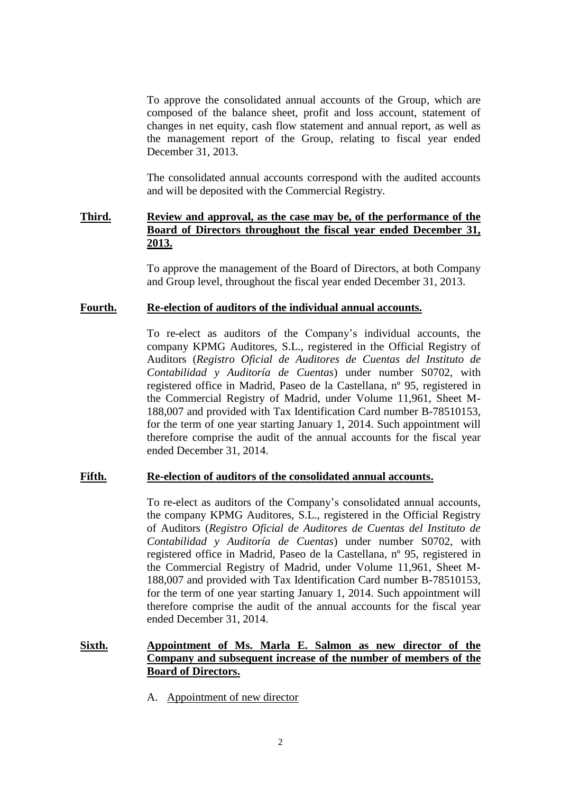To approve the consolidated annual accounts of the Group, which are composed of the balance sheet, profit and loss account, statement of changes in net equity, cash flow statement and annual report, as well as the management report of the Group, relating to fiscal year ended December 31, 2013.

The consolidated annual accounts correspond with the audited accounts and will be deposited with the Commercial Registry.

# **Third. Review and approval, as the case may be, of the performance of the Board of Directors throughout the fiscal year ended December 31, 2013.**

To approve the management of the Board of Directors, at both Company and Group level, throughout the fiscal year ended December 31, 2013.

### **Fourth. Re-election of auditors of the individual annual accounts.**

To re-elect as auditors of the Company's individual accounts, the company KPMG Auditores, S.L., registered in the Official Registry of Auditors (*Registro Oficial de Auditores de Cuentas del Instituto de Contabilidad y Auditoría de Cuentas*) under number S0702, with registered office in Madrid, Paseo de la Castellana, nº 95, registered in the Commercial Registry of Madrid, under Volume 11,961, Sheet M-188,007 and provided with Tax Identification Card number B-78510153, for the term of one year starting January 1, 2014. Such appointment will therefore comprise the audit of the annual accounts for the fiscal year ended December 31, 2014.

#### **Fifth. Re-election of auditors of the consolidated annual accounts.**

To re-elect as auditors of the Company's consolidated annual accounts, the company KPMG Auditores, S.L., registered in the Official Registry of Auditors (*Registro Oficial de Auditores de Cuentas del Instituto de Contabilidad y Auditoría de Cuentas*) under number S0702, with registered office in Madrid, Paseo de la Castellana, nº 95, registered in the Commercial Registry of Madrid, under Volume 11,961, Sheet M-188,007 and provided with Tax Identification Card number B-78510153, for the term of one year starting January 1, 2014. Such appointment will therefore comprise the audit of the annual accounts for the fiscal year ended December 31, 2014.

# **Sixth. Appointment of Ms. Marla E. Salmon as new director of the Company and subsequent increase of the number of members of the Board of Directors.**

A. Appointment of new director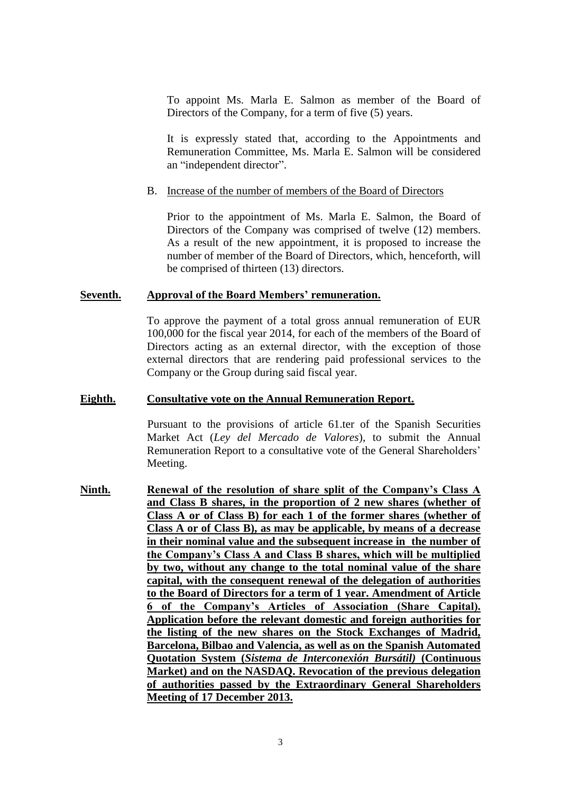To appoint Ms. Marla E. Salmon as member of the Board of Directors of the Company, for a term of five (5) years.

It is expressly stated that, according to the Appointments and Remuneration Committee, Ms. Marla E. Salmon will be considered an "independent director".

### B. Increase of the number of members of the Board of Directors

Prior to the appointment of Ms. Marla E. Salmon, the Board of Directors of the Company was comprised of twelve (12) members. As a result of the new appointment, it is proposed to increase the number of member of the Board of Directors, which, henceforth, will be comprised of thirteen (13) directors.

### **Seventh. Approval of the Board Members' remuneration.**

To approve the payment of a total gross annual remuneration of EUR 100,000 for the fiscal year 2014, for each of the members of the Board of Directors acting as an external director, with the exception of those external directors that are rendering paid professional services to the Company or the Group during said fiscal year.

### **Eighth. Consultative vote on the Annual Remuneration Report.**

Pursuant to the provisions of article 61.ter of the Spanish Securities Market Act (*Ley del Mercado de Valores*), to submit the Annual Remuneration Report to a consultative vote of the General Shareholders' Meeting.

**Ninth. Renewal of the resolution of share split of the Company's Class A and Class B shares, in the proportion of 2 new shares (whether of Class A or of Class B) for each 1 of the former shares (whether of Class A or of Class B), as may be applicable, by means of a decrease in their nominal value and the subsequent increase in the number of the Company's Class A and Class B shares, which will be multiplied by two, without any change to the total nominal value of the share capital, with the consequent renewal of the delegation of authorities to the Board of Directors for a term of 1 year. Amendment of Article 6 of the Company's Articles of Association (Share Capital). Application before the relevant domestic and foreign authorities for the listing of the new shares on the Stock Exchanges of Madrid, Barcelona, Bilbao and Valencia, as well as on the Spanish Automated Quotation System (***Sistema de Interconexión Bursátil)* **(Continuous Market) and on the NASDAQ. Revocation of the previous delegation of authorities passed by the Extraordinary General Shareholders Meeting of 17 December 2013.**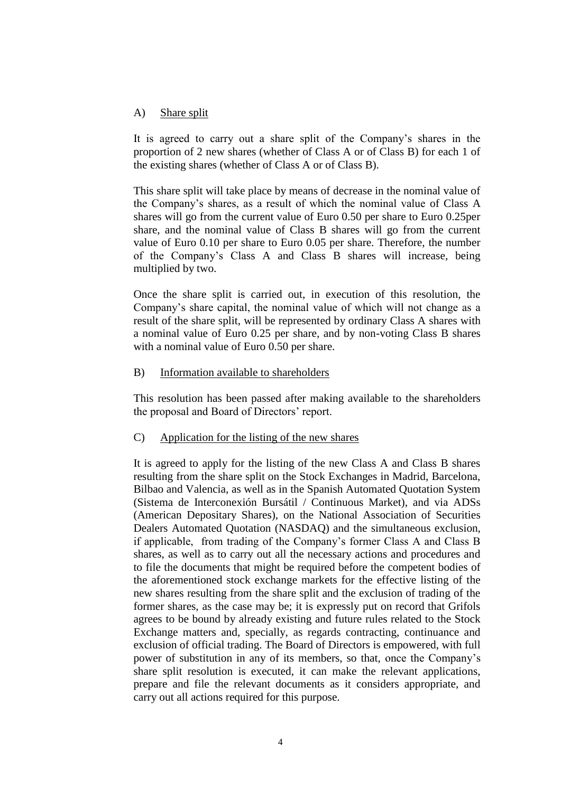## A) Share split

It is agreed to carry out a share split of the Company's shares in the proportion of 2 new shares (whether of Class A or of Class B) for each 1 of the existing shares (whether of Class A or of Class B).

This share split will take place by means of decrease in the nominal value of the Company's shares, as a result of which the nominal value of Class A shares will go from the current value of Euro 0.50 per share to Euro 0.25per share, and the nominal value of Class B shares will go from the current value of Euro 0.10 per share to Euro 0.05 per share. Therefore, the number of the Company's Class A and Class B shares will increase, being multiplied by two.

Once the share split is carried out, in execution of this resolution, the Company's share capital, the nominal value of which will not change as a result of the share split, will be represented by ordinary Class A shares with a nominal value of Euro 0.25 per share, and by non-voting Class B shares with a nominal value of Euro 0.50 per share.

## B) Information available to shareholders

This resolution has been passed after making available to the shareholders the proposal and Board of Directors' report.

## C) Application for the listing of the new shares

It is agreed to apply for the listing of the new Class A and Class B shares resulting from the share split on the Stock Exchanges in Madrid, Barcelona, Bilbao and Valencia, as well as in the Spanish Automated Quotation System (Sistema de Interconexión Bursátil / Continuous Market), and via ADSs (American Depositary Shares), on the National Association of Securities Dealers Automated Quotation (NASDAQ) and the simultaneous exclusion, if applicable, from trading of the Company's former Class A and Class B shares, as well as to carry out all the necessary actions and procedures and to file the documents that might be required before the competent bodies of the aforementioned stock exchange markets for the effective listing of the new shares resulting from the share split and the exclusion of trading of the former shares, as the case may be; it is expressly put on record that Grifols agrees to be bound by already existing and future rules related to the Stock Exchange matters and, specially, as regards contracting, continuance and exclusion of official trading. The Board of Directors is empowered, with full power of substitution in any of its members, so that, once the Company's share split resolution is executed, it can make the relevant applications, prepare and file the relevant documents as it considers appropriate, and carry out all actions required for this purpose.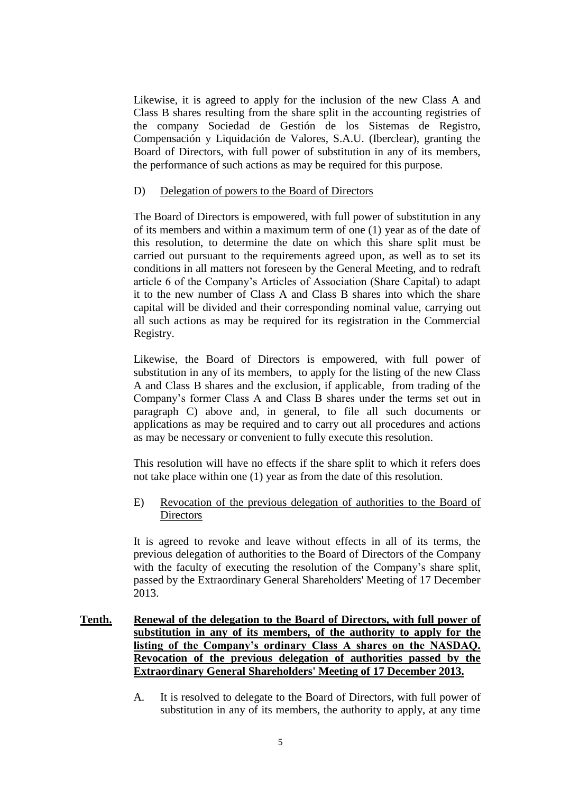Likewise, it is agreed to apply for the inclusion of the new Class A and Class B shares resulting from the share split in the accounting registries of the company Sociedad de Gestión de los Sistemas de Registro, Compensación y Liquidación de Valores, S.A.U. (Iberclear), granting the Board of Directors, with full power of substitution in any of its members, the performance of such actions as may be required for this purpose.

## D) Delegation of powers to the Board of Directors

The Board of Directors is empowered, with full power of substitution in any of its members and within a maximum term of one (1) year as of the date of this resolution, to determine the date on which this share split must be carried out pursuant to the requirements agreed upon, as well as to set its conditions in all matters not foreseen by the General Meeting, and to redraft article 6 of the Company's Articles of Association (Share Capital) to adapt it to the new number of Class A and Class B shares into which the share capital will be divided and their corresponding nominal value, carrying out all such actions as may be required for its registration in the Commercial Registry.

Likewise, the Board of Directors is empowered, with full power of substitution in any of its members, to apply for the listing of the new Class A and Class B shares and the exclusion, if applicable, from trading of the Company's former Class A and Class B shares under the terms set out in paragraph C) above and, in general, to file all such documents or applications as may be required and to carry out all procedures and actions as may be necessary or convenient to fully execute this resolution.

This resolution will have no effects if the share split to which it refers does not take place within one (1) year as from the date of this resolution.

E) Revocation of the previous delegation of authorities to the Board of **Directors** 

It is agreed to revoke and leave without effects in all of its terms, the previous delegation of authorities to the Board of Directors of the Company with the faculty of executing the resolution of the Company's share split, passed by the Extraordinary General Shareholders' Meeting of 17 December 2013.

- **Tenth. Renewal of the delegation to the Board of Directors, with full power of substitution in any of its members, of the authority to apply for the listing of the Company's ordinary Class A shares on the NASDAQ. Revocation of the previous delegation of authorities passed by the Extraordinary General Shareholders' Meeting of 17 December 2013.**
	- A. It is resolved to delegate to the Board of Directors, with full power of substitution in any of its members, the authority to apply, at any time